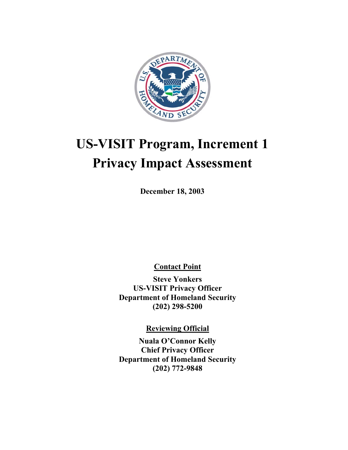

# **US-VISIT Program, Increment 1 Privacy Impact Assessment**

**December 18, 2003** 

**Contact Point** 

**Steve Yonkers US-VISIT Privacy Officer Department of Homeland Security (202) 298-5200** 

**Reviewing Official**

**Nuala O'Connor Kelly Chief Privacy Officer Department of Homeland Security (202) 772-9848**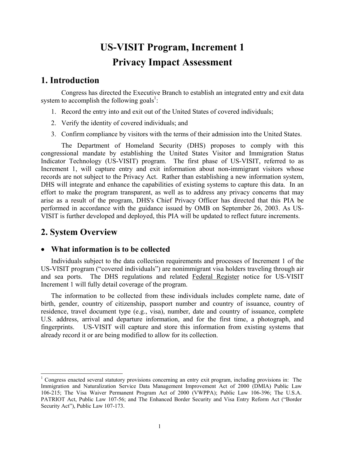# **US-VISIT Program, Increment 1 Privacy Impact Assessment**

# **1. Introduction**

Congress has directed the Executive Branch to establish an integrated entry and exit data system to accomplish the following goals<sup>1</sup>:

- 1. Record the entry into and exit out of the United States of covered individuals;
- 2. Verify the identity of covered individuals; and
- 3. Confirm compliance by visitors with the terms of their admission into the United States.

The Department of Homeland Security (DHS) proposes to comply with this congressional mandate by establishing the United States Visitor and Immigration Status Indicator Technology (US-VISIT) program. The first phase of US-VISIT, referred to as Increment 1, will capture entry and exit information about non-immigrant visitors whose records are not subject to the Privacy Act. Rather than establishing a new information system, DHS will integrate and enhance the capabilities of existing systems to capture this data. In an effort to make the program transparent, as well as to address any privacy concerns that may arise as a result of the program, DHS's Chief Privacy Officer has directed that this PIA be performed in accordance with the guidance issued by OMB on September 26, 2003. As US-VISIT is further developed and deployed, this PIA will be updated to reflect future increments.

# **2. System Overview**

 $\overline{a}$ 

#### • **What information is to be collected**

Increment 1 will fully detail coverage of the program. Individuals subject to the data collection requirements and processes of Increment 1 of the US-VISIT program ("covered individuals") are nonimmigrant visa holders traveling through air and sea ports. The DHS regulations and related Federal Register notice for US-VISIT

The information to be collected from these individuals includes complete name, date of birth, gender, country of citizenship, passport number and country of issuance, country of residence, travel document type (e.g., visa), number, date and country of issuance, complete U.S. address, arrival and departure information, and for the first time, a photograph, and fingerprints. US-VISIT will capture and store this information from existing systems that already record it or are being modified to allow for its collection.

 Immigration and Naturalization Service Data Management Improvement Act of 2000 (DMIA) Public Law <sup>1</sup> Congress enacted several statutory provisions concerning an entry exit program, including provisions in: The 106-215; The Visa Waiver Permanent Program Act of 2000 (VWPPA); Public Law 106-396; The U.S.A. PATRIOT Act, Public Law 107-56; and The Enhanced Border Security and Visa Entry Reform Act ("Border Security Act"), Public Law 107-173.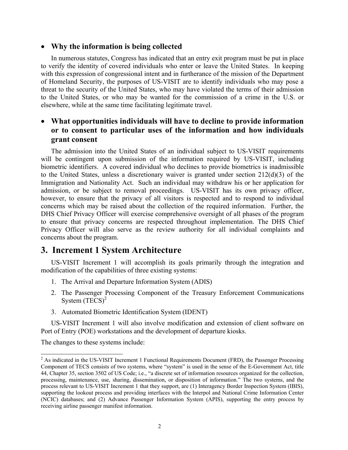#### • **Why the information is being collected**

In numerous statutes, Congress has indicated that an entry exit program must be put in place to verify the identity of covered individuals who enter or leave the United States. In keeping with this expression of congressional intent and in furtherance of the mission of the Department of Homeland Security, the purposes of US-VISIT are to identify individuals who may pose a threat to the security of the United States, who may have violated the terms of their admission to the United States, or who may be wanted for the commission of a crime in the U.S. or elsewhere, while at the same time facilitating legitimate travel.

### • **What opportunities individuals will have to decline to provide information or to consent to particular uses of the information and how individuals grant consent**

 concerns about the program. The admission into the United States of an individual subject to US-VISIT requirements will be contingent upon submission of the information required by US-VISIT, including biometric identifiers. A covered individual who declines to provide biometrics is inadmissible to the United States, unless a discretionary waiver is granted under section 212(d)(3) of the Immigration and Nationality Act. Such an individual may withdraw his or her application for admission, or be subject to removal proceedings. US-VISIT has its own privacy officer, however, to ensure that the privacy of all visitors is respected and to respond to individual concerns which may be raised about the collection of the required information. Further, the DHS Chief Privacy Officer will exercise comprehensive oversight of all phases of the program to ensure that privacy concerns are respected throughout implementation. The DHS Chief Privacy Officer will also serve as the review authority for all individual complaints and

# **3. Increment 1 System Architecture**

US-VISIT Increment 1 will accomplish its goals primarily through the integration and modification of the capabilities of three existing systems:

- 1. The Arrival and Departure Information System (ADIS)
- 2. The Passenger Processing Component of the Treasury Enforcement Communications System  $(TECS)^2$
- 3. Automated Biometric Identification System (IDENT)

US-VISIT Increment 1 will also involve modification and extension of client software on Port of Entry (POE) workstations and the development of departure kiosks.

The changes to these systems include:

 $\overline{a}$ 

 $2$  As indicated in the US-VISIT Increment 1 Functional Requirements Document (FRD), the Passenger Processing Component of TECS consists of two systems, where "system" is used in the sense of the E-Government Act, title 44, Chapter 35, section 3502 of US Code; i.e., "a discrete set of information resources organized for the collection, processing, maintenance, use, sharing, dissemination, or disposition of information." The two systems, and the process relevant to US-VISIT Increment 1 that they support, are (1) Interagency Border Inspection System (IBIS), supporting the lookout process and providing interfaces with the Interpol and National Crime Information Center (NCIC) databases; and (2) Advance Passenger Information System (APIS), supporting the entry process by receiving airline passenger manifest information.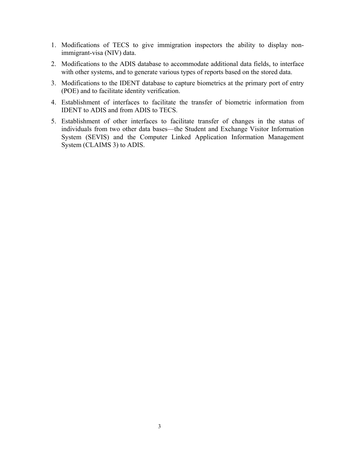- 1. Modifications of TECS to give immigration inspectors the ability to display nonimmigrant-visa (NIV) data.
- 2. Modifications to the ADIS database to accommodate additional data fields, to interface with other systems, and to generate various types of reports based on the stored data.
- 3. Modifications to the IDENT database to capture biometrics at the primary port of entry (POE) and to facilitate identity verification.
- 4. Establishment of interfaces to facilitate the transfer of biometric information from IDENT to ADIS and from ADIS to TECS.
- 5. Establishment of other interfaces to facilitate transfer of changes in the status of individuals from two other data bases—the Student and Exchange Visitor Information System (SEVIS) and the Computer Linked Application Information Management System (CLAIMS 3) to ADIS.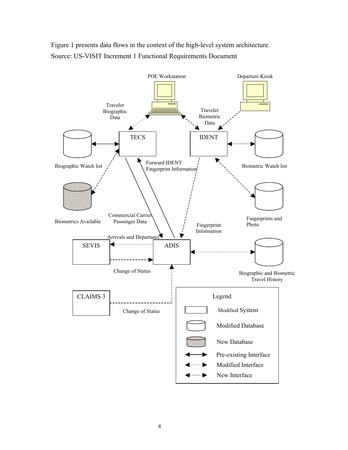Figure 1 presents data flows in the context of the high-level system architecture. Source: US-VISIT Increment 1 Functional Requirements Document

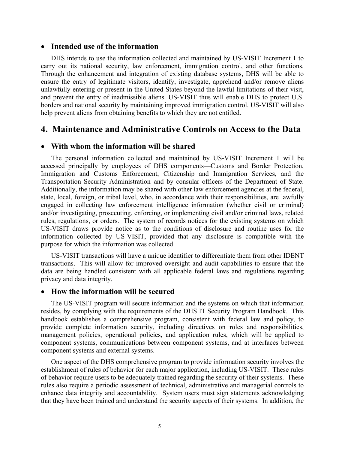#### • **Intended use of the information**

DHS intends to use the information collected and maintained by US-VISIT Increment 1 to carry out its national security, law enforcement, immigration control, and other functions. Through the enhancement and integration of existing database systems, DHS will be able to ensure the entry of legitimate visitors, identify, investigate, apprehend and/or remove aliens unlawfully entering or present in the United States beyond the lawful limitations of their visit, and prevent the entry of inadmissible aliens. US-VISIT thus will enable DHS to protect U.S. borders and national security by maintaining improved immigration control. US-VISIT will also help prevent aliens from obtaining benefits to which they are not entitled.

### **4. Maintenance and Administrative Controls on Access to the Data**

#### • **With whom the information will be shared**

The personal information collected and maintained by US-VISIT Increment 1 will be accessed principally by employees of DHS components—Customs and Border Protection, Immigration and Customs Enforcement, Citizenship and Immigration Services, and the Transportation Security Administration–and by consular officers of the Department of State. Additionally, the information may be shared with other law enforcement agencies at the federal, state, local, foreign, or tribal level, who, in accordance with their responsibilities, are lawfully engaged in collecting law enforcement intelligence information (whether civil or criminal) and/or investigating, prosecuting, enforcing, or implementing civil and/or criminal laws, related rules, regulations, or orders. The system of records notices for the existing systems on which US-VISIT draws provide notice as to the conditions of disclosure and routine uses for the information collected by US-VISIT, provided that any disclosure is compatible with the purpose for which the information was collected.

US-VISIT transactions will have a unique identifier to differentiate them from other IDENT transactions. This will allow for improved oversight and audit capabilities to ensure that the data are being handled consistent with all applicable federal laws and regulations regarding privacy and data integrity.

#### • **How the information will be secured**

The US-VISIT program will secure information and the systems on which that information resides, by complying with the requirements of the DHS IT Security Program Handbook. This handbook establishes a comprehensive program, consistent with federal law and policy, to provide complete information security, including directives on roles and responsibilities, management policies, operational policies, and application rules, which will be applied to component systems, communications between component systems, and at interfaces between component systems and external systems.

One aspect of the DHS comprehensive program to provide information security involves the establishment of rules of behavior for each major application, including US-VISIT. These rules of behavior require users to be adequately trained regarding the security of their systems. These rules also require a periodic assessment of technical, administrative and managerial controls to enhance data integrity and accountability. System users must sign statements acknowledging that they have been trained and understand the security aspects of their systems. In addition, the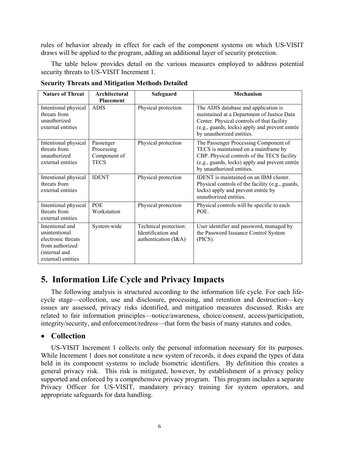draws will be applied to the program, adding an additional layer of security protection. rules of behavior already in effect for each of the component systems on which US-VISIT

The table below provides detail on the various measures employed to address potential security threats to US-VISIT Increment 1.

| <b>Nature of Threat</b>                                                                                          | Architectural<br><b>Placement</b>                      | Safeguard                                                           | Mechanism                                                                                                                                                                                                       |
|------------------------------------------------------------------------------------------------------------------|--------------------------------------------------------|---------------------------------------------------------------------|-----------------------------------------------------------------------------------------------------------------------------------------------------------------------------------------------------------------|
| Intentional physical<br>threats from<br>unauthorized<br>external entities                                        | <b>ADIS</b>                                            | Physical protection                                                 | The ADIS database and application is<br>maintained at a Department of Justice Data<br>Center. Physical controls of that facility<br>(e.g., guards, locks) apply and prevent entrée<br>by unauthorized entities. |
| Intentional physical<br>threats from<br>unauthorized<br>external entities                                        | Passenger<br>Processing<br>Component of<br><b>TECS</b> | Physical protection                                                 | The Passenger Processing Component of<br>TECS is maintained on a mainframe by<br>CBP. Physical controls of the TECS facility<br>(e.g., guards, locks) apply and prevent entrée<br>by unauthorized entities.     |
| Intentional physical<br>threats from<br>external entities                                                        | <b>IDENT</b>                                           | Physical protection                                                 | <b>IDENT</b> is maintained on an IBM cluster.<br>Physical controls of the facility (e.g., guards,<br>locks) apply and prevent entrée by<br>unauthorized entities.                                               |
| Intentional physical<br>threats from<br>external entities                                                        | POE<br>Workstation                                     | Physical protection                                                 | Physical controls will be specific to each<br>POE.                                                                                                                                                              |
| Intentional and<br>unintentional<br>electronic threats<br>from authorized<br>(internal and<br>external) entities | System-wide                                            | Technical protection:<br>Identification and<br>authentication (I&A) | User identifier and password, managed by<br>the Password Issuance Control System<br>(PICS).                                                                                                                     |

**Security Threats and Mitigation Methods Detailed** 

# **5. Information Life Cycle and Privacy Impacts**

The following analysis is structured according to the information life cycle. For each lifecycle stage—collection, use and disclosure, processing, and retention and destruction—key issues are assessed, privacy risks identified, and mitigation measures discussed. Risks are related to fair information principles—notice/awareness, choice/consent, access/participation, integrity/security, and enforcement/redress—that form the basis of many statutes and codes.

#### • **Collection**

US-VISIT Increment 1 collects only the personal information necessary for its purposes. While Increment 1 does not constitute a new system of records, it does expand the types of data held in its component systems to include biometric identifiers. By definition this creates a general privacy risk. This risk is mitigated, however, by establishment of a privacy policy supported and enforced by a comprehensive privacy program. This program includes a separate Privacy Officer for US-VISIT, mandatory privacy training for system operators, and appropriate safeguards for data handling.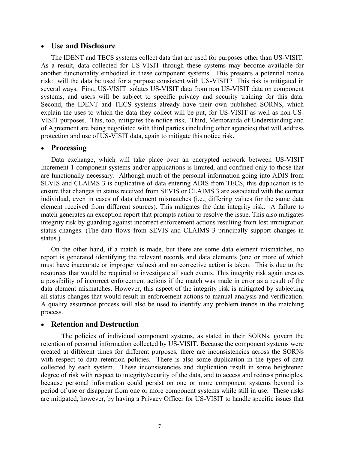#### • **Use and Disclosure**

The IDENT and TECS systems collect data that are used for purposes other than US-VISIT. As a result, data collected for US-VISIT through these systems may become available for another functionality embodied in these component systems. This presents a potential notice risk: will the data be used for a purpose consistent with US-VISIT? This risk is mitigated in several ways. First, US-VISIT isolates US-VISIT data from non US-VISIT data on component systems, and users will be subject to specific privacy and security training for this data. Second, the IDENT and TECS systems already have their own published SORNS, which explain the uses to which the data they collect will be put, for US-VISIT as well as non-US-VISIT purposes. This, too, mitigates the notice risk. Third, Memoranda of Understanding and of Agreement are being negotiated with third parties (including other agencies) that will address protection and use of US-VISIT data, again to mitigate this notice risk.

#### • **Processing**

Data exchange, which will take place over an encrypted network between US-VISIT Increment 1 component systems and/or applications is limited, and confined only to those that are functionally necessary. Although much of the personal information going into ADIS from SEVIS and CLAIMS 3 is duplicative of data entering ADIS from TECS, this duplication is to ensure that changes in status received from SEVIS or CLAIMS 3 are associated with the correct individual, even in cases of data element mismatches (i.e., differing values for the same data element received from different sources). This mitigates the data integrity risk. A failure to match generates an exception report that prompts action to resolve the issue. This also mitigates integrity risk by guarding against incorrect enforcement actions resulting from lost immigration status changes. (The data flows from SEVIS and CLAIMS 3 principally support changes in status.)

On the other hand, if a match is made, but there are some data element mismatches, no report is generated identifying the relevant records and data elements (one or more of which must have inaccurate or improper values) and no corrective action is taken. This is due to the resources that would be required to investigate all such events. This integrity risk again creates a possibility of incorrect enforcement actions if the match was made in error as a result of the data element mismatches. However, this aspect of the integrity risk is mitigated by subjecting all status changes that would result in enforcement actions to manual analysis and verification. A quality assurance process will also be used to identify any problem trends in the matching process.

#### • **Retention and Destruction**

The policies of individual component systems, as stated in their SORNs, govern the retention of personal information collected by US-VISIT. Because the component systems were created at different times for different purposes, there are inconsistencies across the SORNs with respect to data retention policies. There is also some duplication in the types of data collected by each system. These inconsistencies and duplication result in some heightened degree of risk with respect to integrity/security of the data, and to access and redress principles, because personal information could persist on one or more component systems beyond its period of use or disappear from one or more component systems while still in use. These risks are mitigated, however, by having a Privacy Officer for US-VISIT to handle specific issues that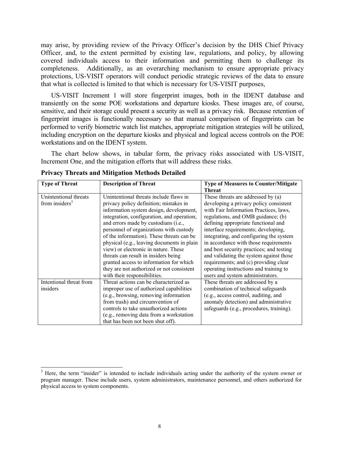may arise, by providing review of the Privacy Officer's decision by the DHS Chief Privacy Officer, and, to the extent permitted by existing law, regulations, and policy, by allowing covered individuals access to their information and permitting them to challenge its completeness. Additionally, as an overarching mechanism to ensure appropriate privacy protections, US-VISIT operators will conduct periodic strategic reviews of the data to ensure that what is collected is limited to that which is necessary for US-VISIT purposes,

US-VISIT Increment 1 will store fingerprint images, both in the IDENT database and transiently on the some POE workstations and departure kiosks. These images are, of course, sensitive, and their storage could present a security as well as a privacy risk. Because retention of fingerprint images is functionally necessary so that manual comparison of fingerprints can be performed to verify biometric watch list matches, appropriate mitigation strategies will be utilized, including encryption on the departure kiosks and physical and logical access controls on the POE workstations and on the IDENT system.

The chart below shows, in tabular form, the privacy risks associated with US-VISIT, Increment One, and the mitigation efforts that will address these risks.

| <b>Type of Threat</b>                      | <b>Description of Threat</b>                                                                                                                                                                                                                                                                                                                            | <b>Type of Measures to Counter/Mitigate</b><br><b>Threat</b>                                                                                                                                                                                                                                                                   |
|--------------------------------------------|---------------------------------------------------------------------------------------------------------------------------------------------------------------------------------------------------------------------------------------------------------------------------------------------------------------------------------------------------------|--------------------------------------------------------------------------------------------------------------------------------------------------------------------------------------------------------------------------------------------------------------------------------------------------------------------------------|
| Unintentional threats<br>from insiders $3$ | Unintentional threats include flaws in<br>privacy policy definition; mistakes in<br>information system design, development,<br>integration, configuration, and operation;<br>and errors made by custodians (i.e.,<br>personnel of organizations with custody<br>of the information). These threats can be<br>physical (e.g., leaving documents in plain | These threats are addressed by (a)<br>developing a privacy policy consistent<br>with Fair Information Practices, laws,<br>regulations, and OMB guidance; (b)<br>defining appropriate functional and<br>interface requirements; developing,<br>integrating, and configuring the system<br>in accordance with those requirements |
|                                            | view) or electronic in nature. These<br>threats can result in insiders being<br>granted access to information for which<br>they are not authorized or not consistent<br>with their responsibilities.                                                                                                                                                    | and best security practices; and testing<br>and validating the system against those<br>requirements; and (c) providing clear<br>operating instructions and training to<br>users and system administrators.                                                                                                                     |
| Intentional threat from<br>insiders        | Threat actions can be characterized as<br>improper use of authorized capabilities<br>(e.g., browsing, removing information<br>from trash) and circumvention of<br>controls to take unauthorized actions<br>(e.g., removing data from a workstation<br>that has been not been shut off).                                                                 | These threats are addressed by a<br>combination of technical safeguards<br>(e.g., access control, auditing, and<br>anomaly detection) and administrative<br>safeguards (e.g., procedures, training).                                                                                                                           |

|  |  |  | <b>Privacy Threats and Mitigation Methods Detailed</b> |
|--|--|--|--------------------------------------------------------|
|  |  |  |                                                        |

l

 $3$  Here, the term "insider" is intended to include individuals acting under the authority of the system owner or program manager. These include users, system administrators, maintenance personnel, and others authorized for physical access to system components.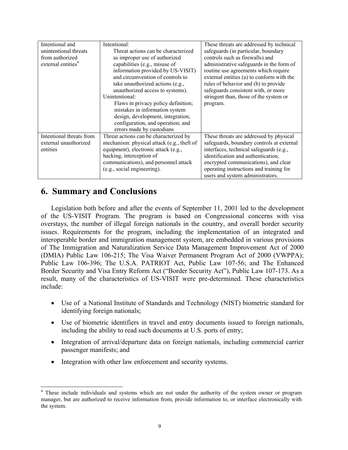| Intentional and                | Intentional:                               | These threats are addressed by technical  |
|--------------------------------|--------------------------------------------|-------------------------------------------|
| unintentional threats          | Threat actions can be characterized        | safeguards (in particular, boundary       |
| from authorized                | as improper use of authorized              | controls such as firewalls) and           |
| external entities <sup>4</sup> | capabilities (e.g., misuse of              | administrative safeguards in the form of  |
|                                | information provided by US-VISIT)          | routine use agreements which require      |
|                                | and circumvention of controls to           | external entities (a) to conform with the |
|                                | take unauthorized actions (e.g.,           | rules of behavior and (b) to provide      |
|                                | unauthorized access to systems).           | safeguards consistent with, or more       |
|                                | Unintentional:                             | stringent than, those of the system or    |
|                                | Flaws in privacy policy definition;        | program.                                  |
|                                | mistakes in information system             |                                           |
|                                | design, development, integration,          |                                           |
|                                | configuration, and operation; and          |                                           |
|                                | errors made by custodians                  |                                           |
| Intentional threats from       | Threat actions can be characterized by     | These threats are addressed by physical   |
| external unauthorized          | mechanism: physical attack (e.g., theft of | safeguards, boundary controls at external |
| entities                       | equipment), electronic attack (e.g.,       | interfaces, technical safeguards (e.g.,   |
|                                | hacking, interception of                   | identification and authentication,        |
|                                | communications), and personnel attack      | encrypted communications), and clear      |
|                                | (e.g., social engineering).                | operating instructions and training for   |
|                                |                                            | users and system administrators.          |

# **6. Summary and Conclusions**

Legislation both before and after the events of September 11, 2001 led to the development of the US-VISIT Program. The program is based on Congressional concerns with visa overstays, the number of illegal foreign nationals in the country, and overall border security issues. Requirements for the program, including the implementation of an integrated and interoperable border and immigration management system, are embedded in various provisions of The Immigration and Naturalization Service Data Management Improvement Act of 2000 (DMIA) Public Law 106-215; The Visa Waiver Permanent Program Act of 2000 (VWPPA); Public Law 106-396; The U.S.A. PATRIOT Act, Public Law 107-56; and The Enhanced Border Security and Visa Entry Reform Act ("Border Security Act"), Public Law 107-173. As a result, many of the characteristics of US-VISIT were pre-determined. These characteristics include:

- Use of a National Institute of Standards and Technology (NIST) biometric standard for identifying foreign nationals;
- Use of biometric identifiers in travel and entry documents issued to foreign nationals, including the ability to read such documents at U.S. ports of entry;
- Integration of arrival/departure data on foreign nationals, including commercial carrier passenger manifests; and
- Integration with other law enforcement and security systems.

<sup>&</sup>lt;sup>4</sup> These include individuals and systems which are not under the authority of the system owner or program manager, but are authorized to receive information from, provide information to, or interface electronically with the system.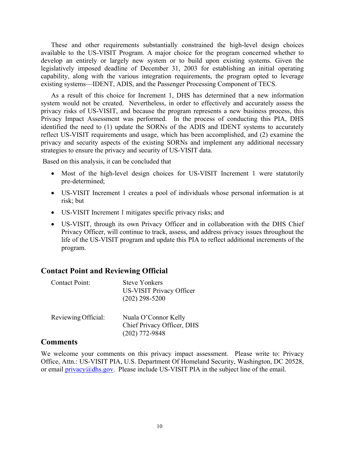These and other requirements substantially constrained the high-level design choices available to the US-VISIT Program. A major choice for the program concerned whether to develop an entirely or largely new system or to build upon existing systems. Given the legislatively imposed deadline of December 31, 2003 for establishing an initial operating capability, along with the various integration requirements, the program opted to leverage existing systems—IDENT, ADIS, and the Passenger Processing Component of TECS.

As a result of this choice for Increment 1, DHS has determined that a new information system would not be created. Nevertheless, in order to effectively and accurately assess the privacy risks of US-VISIT, and because the program represents a new business process, this Privacy Impact Assessment was performed. In the process of conducting this PIA, DHS identified the need to (1) update the SORNs of the ADIS and IDENT systems to accurately reflect US-VISIT requirements and usage, which has been accomplished, and (2) examine the privacy and security aspects of the existing SORNs and implement any additional necessary strategies to ensure the privacy and security of US-VISIT data.

Based on this analysis, it can be concluded that

- Most of the high-level design choices for US-VISIT Increment 1 were statutorily pre-determined;
- US-VISIT Increment 1 creates a pool of individuals whose personal information is at risk; but
- US-VISIT Increment 1 mitigates specific privacy risks; and
- US-VISIT, through its own Privacy Officer and in collaboration with the DHS Chief Privacy Officer, will continue to track, assess, and address privacy issues throughout the life of the US-VISIT program and update this PIA to reflect additional increments of the program.

#### **Contact Point and Reviewing Official**

| <b>Contact Point:</b> | <b>Steve Yonkers</b><br><b>US-VISIT Privacy Officer</b><br>$(202)$ 298-5200 |
|-----------------------|-----------------------------------------------------------------------------|
| Reviewing Official:   | Nuala O'Connor Kelly<br>Chief Privacy Officer, DHS<br>$(202)$ 772-9848      |

#### **Comments**

We welcome your comments on this privacy impact assessment. Please write to: Privacy Office, Attn.: US-VISIT PIA, U.S. Department Of Homeland Security, Washington, DC 20528, or email privacy@dhs.gov. Please include US-VISIT PIA in the subject line of the email.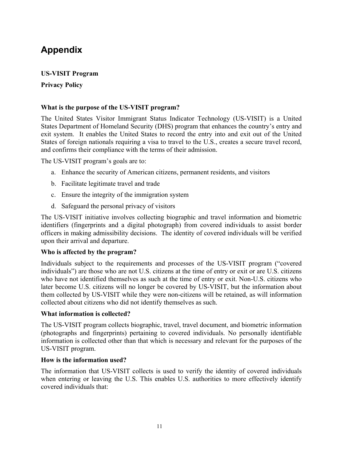# **Appendix**

#### **US-VISIT Program**

#### **Privacy Policy**

#### **What is the purpose of the US-VISIT program?**

The United States Visitor Immigrant Status Indicator Technology (US-VISIT) is a United States Department of Homeland Security (DHS) program that enhances the country's entry and exit system. It enables the United States to record the entry into and exit out of the United States of foreign nationals requiring a visa to travel to the U.S., creates a secure travel record, and confirms their compliance with the terms of their admission.

The US-VISIT program's goals are to:

- a. Enhance the security of American citizens, permanent residents, and visitors
- b. Facilitate legitimate travel and trade
- c. Ensure the integrity of the immigration system
- d. Safeguard the personal privacy of visitors

The US-VISIT initiative involves collecting biographic and travel information and biometric identifiers (fingerprints and a digital photograph) from covered individuals to assist border officers in making admissibility decisions. The identity of covered individuals will be verified upon their arrival and departure.

#### **Who is affected by the program?**

Individuals subject to the requirements and processes of the US-VISIT program ("covered individuals") are those who are not U.S. citizens at the time of entry or exit or are U.S. citizens who have not identified themselves as such at the time of entry or exit. Non-U.S. citizens who later become U.S. citizens will no longer be covered by US-VISIT, but the information about them collected by US-VISIT while they were non-citizens will be retained, as will information collected about citizens who did not identify themselves as such.

#### **What information is collected?**

The US-VISIT program collects biographic, travel, travel document, and biometric information (photographs and fingerprints) pertaining to covered individuals. No personally identifiable information is collected other than that which is necessary and relevant for the purposes of the US-VISIT program.

#### **How is the information used?**

The information that US-VISIT collects is used to verify the identity of covered individuals when entering or leaving the U.S. This enables U.S. authorities to more effectively identify covered individuals that: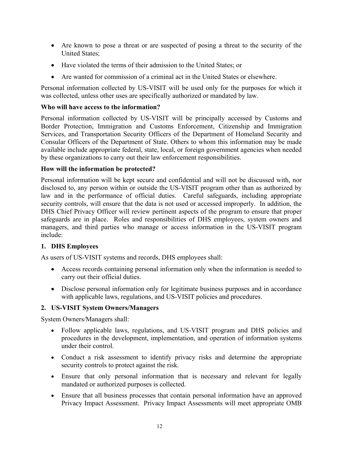- Are known to pose a threat or are suspected of posing a threat to the security of the United States;
- Have violated the terms of their admission to the United States; or
- Are wanted for commission of a criminal act in the United States or elsewhere.

Personal information collected by US-VISIT will be used only for the purposes for which it was collected, unless other uses are specifically authorized or mandated by law.

#### **Who will have access to the information?**

Personal information collected by US-VISIT will be principally accessed by Customs and Border Protection, Immigration and Customs Enforcement, Citizenship and Immigration Services, and Transportation Security Officers of the Department of Homeland Security and Consular Officers of the Department of State. Others to whom this information may be made available include appropriate federal, state, local, or foreign government agencies when needed by these organizations to carry out their law enforcement responsibilities.

#### **How will the information be protected?**

Personal information will be kept secure and confidential and will not be discussed with, nor disclosed to, any person within or outside the US-VISIT program other than as authorized by law and in the performance of official duties. Careful safeguards, including appropriate security controls, will ensure that the data is not used or accessed improperly. In addition, the DHS Chief Privacy Officer will review pertinent aspects of the program to ensure that proper safeguards are in place. Roles and responsibilities of DHS employees, system owners and managers, and third parties who manage or access information in the US-VISIT program include:

#### **1. DHS Employees**

As users of US-VISIT systems and records, DHS employees shall:

- Access records containing personal information only when the information is needed to carry out their official duties.
- Disclose personal information only for legitimate business purposes and in accordance with applicable laws, regulations, and US-VISIT policies and procedures.

#### **2. US-VISIT System Owners/Managers**

System Owners/Managers shall:

- Follow applicable laws, regulations, and US-VISIT program and DHS policies and procedures in the development, implementation, and operation of information systems under their control.
- Conduct a risk assessment to identify privacy risks and determine the appropriate security controls to protect against the risk.
- Ensure that only personal information that is necessary and relevant for legally mandated or authorized purposes is collected.
- Ensure that all business processes that contain personal information have an approved Privacy Impact Assessment. Privacy Impact Assessments will meet appropriate OMB